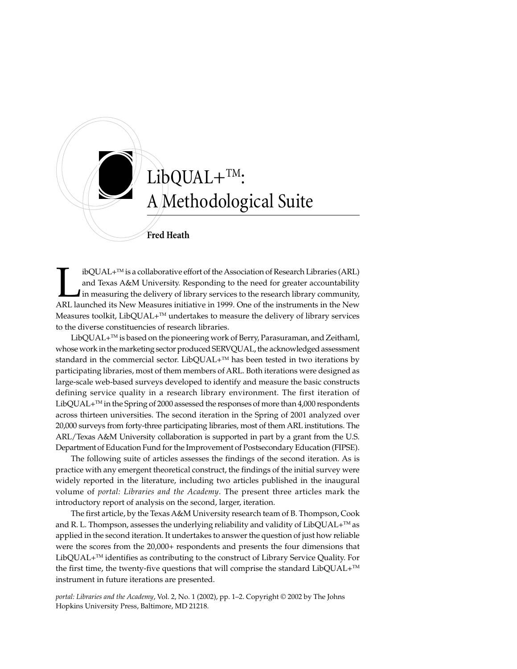

 $\blacksquare$ ibQUAL+TM is a collaborative effort of the Association of Research Libraries (ARL) and Texas A&M University. Responding to the need for greater accountability in measuring the delivery of library services to the res and Texas A&M University. Responding to the need for greater accountability in measuring the delivery of library services to the research library community, ARL launched its New Measures initiative in 1999. One of the instruments in the New Measures toolkit, LibQUAL+<sup>™</sup> undertakes to measure the delivery of library services to the diverse constituencies of research libraries.

LibQUAL+TM is based on the pioneering work of Berry, Parasuraman, and Zeithaml, whose work in the marketing sector produced SERVQUAL, the acknowledged assessment standard in the commercial sector. LibQUAL+ $\text{TM}$  has been tested in two iterations by participating libraries, most of them members of ARL. Both iterations were designed as large-scale web-based surveys developed to identify and measure the basic constructs defining service quality in a research library environment. The first iteration of LibQUAL+TM in the Spring of 2000 assessed the responses of more than 4,000 respondents across thirteen universities. The second iteration in the Spring of 2001 analyzed over 20,000 surveys from forty-three participating libraries, most of them ARL institutions. The ARL/Texas A&M University collaboration is supported in part by a grant from the U.S. Department of Education Fund for the Improvement of Postsecondary Education (FIPSE).

The following suite of articles assesses the findings of the second iteration. As is practice with any emergent theoretical construct, the findings of the initial survey were widely reported in the literature, including two articles published in the inaugural volume of *portal: Libraries and the Academy*. The present three articles mark the introductory report of analysis on the second, larger, iteration.

The first article, by the Texas A&M University research team of B. Thompson, Cook and R. L. Thompson, assesses the underlying reliability and validity of LibQUAL+ $^{TM}$  as applied in the second iteration. It undertakes to answer the question of just how reliable were the scores from the 20,000+ respondents and presents the four dimensions that LibQUAL+TM identifies as contributing to the construct of Library Service Quality. For the first time, the twenty-five questions that will comprise the standard  $LibQUAL+<sup>TM</sup>$ instrument in future iterations are presented.

*portal: Libraries and the Academy*, Vol. 2, No. 1 (2002), pp. 1–2. Copyright © 2002 by The Johns Hopkins University Press, Baltimore, MD 21218.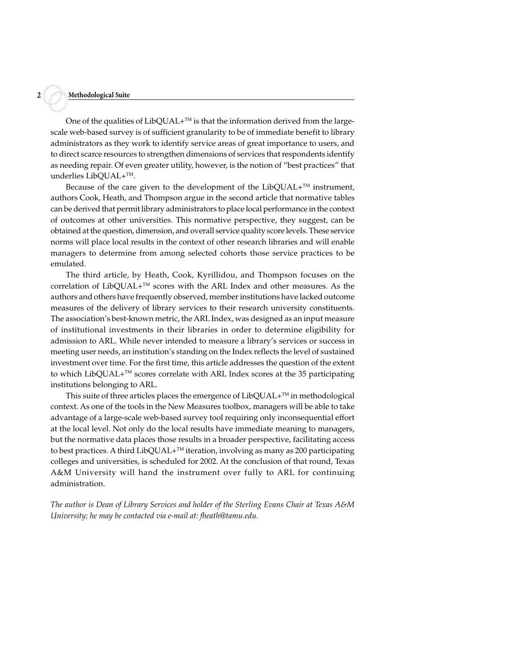## **2 Methodological Suite**

One of the qualities of  $LibQUAL+^{TM}$  is that the information derived from the largescale web-based survey is of sufficient granularity to be of immediate benefit to library administrators as they work to identify service areas of great importance to users, and to direct scarce resources to strengthen dimensions of services that respondents identify as needing repair. Of even greater utility, however, is the notion of "best practices" that underlies LibQUAL+TM.

Because of the care given to the development of the LibQUAL+<sup>™</sup> instrument, authors Cook, Heath, and Thompson argue in the second article that normative tables can be derived that permit library administrators to place local performance in the context of outcomes at other universities. This normative perspective, they suggest, can be obtained at the question, dimension, and overall service quality score levels. These service norms will place local results in the context of other research libraries and will enable managers to determine from among selected cohorts those service practices to be emulated.

The third article, by Heath, Cook, Kyrillidou, and Thompson focuses on the correlation of LibQUAL+TM scores with the ARL Index and other measures. As the authors and others have frequently observed, member institutions have lacked outcome measures of the delivery of library services to their research university constituents. The association's best-known metric, the ARL Index, was designed as an input measure of institutional investments in their libraries in order to determine eligibility for admission to ARL. While never intended to measure a library's services or success in meeting user needs, an institution's standing on the Index reflects the level of sustained investment over time. For the first time, this article addresses the question of the extent to which LibQUAL+<sup>™</sup> scores correlate with ARL Index scores at the 35 participating institutions belonging to ARL.

This suite of three articles places the emergence of  $LibQUAL+^{TM}$  in methodological context. As one of the tools in the New Measures toolbox, managers will be able to take advantage of a large-scale web-based survey tool requiring only inconsequential effort at the local level. Not only do the local results have immediate meaning to managers, but the normative data places those results in a broader perspective, facilitating access to best practices. A third LibQUAL+<sup>™</sup> iteration, involving as many as 200 participating colleges and universities, is scheduled for 2002. At the conclusion of that round, Texas A&M University will hand the instrument over fully to ARL for continuing administration.

*The author is Dean of Library Services and holder of the Sterling Evans Chair at Texas A&M University; he may be contacted via e-mail at: fheath@tamu.edu.*